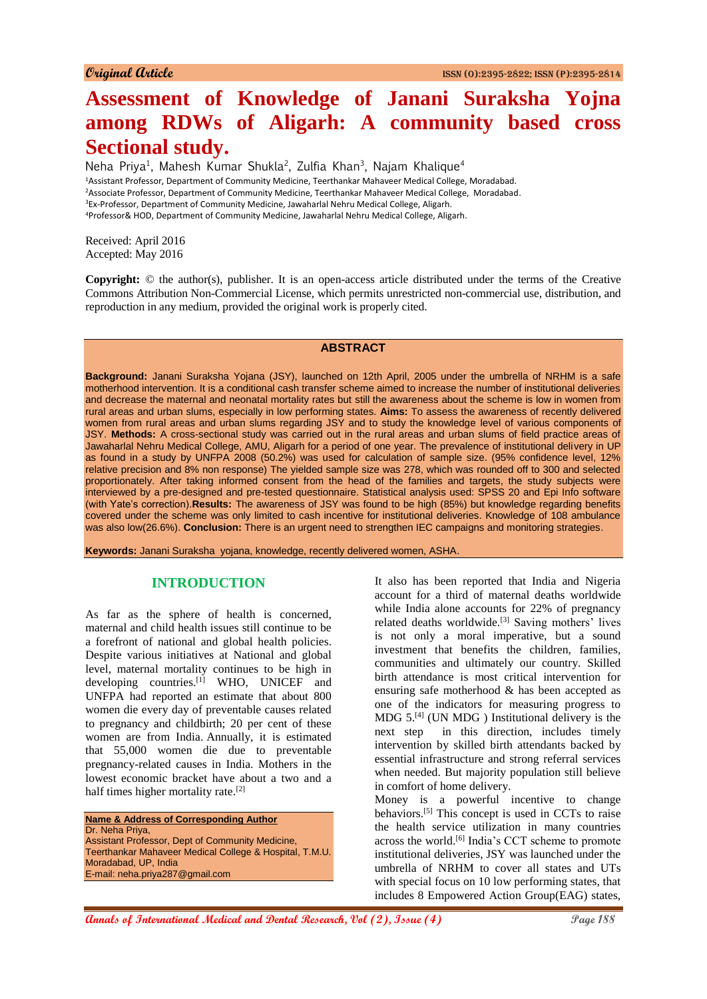# **Assessment of Knowledge of Janani Suraksha Yojna among RDWs of Aligarh: A community based cross Sectional study.**

Neha Priya<sup>1</sup>, Mahesh Kumar Shukla<sup>2</sup>, Zulfia Khan<sup>3</sup>, Najam Khalique<sup>4</sup> <sup>1</sup>Assistant Professor, Department of Community Medicine, Teerthankar Mahaveer Medical College, Moradabad. <sup>2</sup>Associate Professor, Department of Community Medicine, Teerthankar Mahaveer Medical College, Moradabad. <sup>3</sup>Ex-Professor, Department of Community Medicine, Jawaharlal Nehru Medical College, Aligarh. <sup>4</sup>Professor& HOD, Department of Community Medicine, Jawaharlal Nehru Medical College, Aligarh.

Received: April 2016 Accepted: May 2016

**Copyright:** © the author(s), publisher. It is an open-access article distributed under the terms of the Creative Commons Attribution Non-Commercial License, which permits unrestricted non-commercial use, distribution, and reproduction in any medium, provided the original work is properly cited.

## **ABSTRACT**

**Background:** Janani Suraksha Yojana (JSY), launched on 12th April, 2005 under the umbrella of NRHM is a safe motherhood intervention. It is a conditional cash transfer scheme aimed to increase the number of institutional deliveries and decrease the maternal and neonatal mortality rates but still the awareness about the scheme is low in women from rural areas and urban slums, especially in low performing states. **Aims:** To assess the awareness of recently delivered women from rural areas and urban slums regarding JSY and to study the knowledge level of various components of JSY. **Methods:** A cross-sectional study was carried out in the rural areas and urban slums of field practice areas of Jawaharlal Nehru Medical College, AMU, Aligarh for a period of one year. The prevalence of institutional delivery in UP as found in a study by UNFPA 2008 (50.2%) was used for calculation of sample size. (95% confidence level, 12% relative precision and 8% non response) The yielded sample size was 278, which was rounded off to 300 and selected proportionately. After taking informed consent from the head of the families and targets, the study subjects were interviewed by a pre-designed and pre-tested questionnaire. Statistical analysis used: SPSS 20 and Epi Info software (with Yate's correction).**Results:** The awareness of JSY was found to be high (85%) but knowledge regarding benefits covered under the scheme was only limited to cash incentive for institutional deliveries. Knowledge of 108 ambulance was also low(26.6%). **Conclusion:** There is an urgent need to strengthen IEC campaigns and monitoring strategies.

**Keywords:** Janani Suraksha yojana, knowledge, recently delivered women, ASHA.

## **INTRODUCTION**

As far as the sphere of health is concerned, maternal and child health issues still continue to be a forefront of national and global health policies. Despite various initiatives at National and global level, maternal mortality continues to be high in developing countries. $[1]$  WHO, UNICEF and UNFPA had reported an estimate that about 800 women die every day of preventable causes related to pregnancy and childbirth; 20 per cent of these women are from India. Annually, it is estimated that 55,000 women die due to preventable pregnancy-related causes in India. Mothers in the lowest economic bracket have about a two and a half times higher mortality rate.[2]

**Name & Address of Corresponding Author** Dr. Neha Priya, Assistant Professor, Dept of Community Medicine, Teerthankar Mahaveer Medical College & Hospital, T.M.U. Moradabad, UP, India E-mail: neha.priya287@gmail.com

It also has been reported that India and Nigeria account for a third of maternal deaths worldwide while India alone accounts for 22% of pregnancy related deaths worldwide.<sup>[3]</sup> Saving mothers' lives is not only a moral imperative, but a sound investment that benefits the children, families, communities and ultimately our country. Skilled birth attendance is most critical intervention for ensuring safe motherhood & has been accepted as one of the indicators for measuring progress to  $MDG$  5.<sup>[4]</sup> (UN MDG) Institutional delivery is the next step in this direction, includes timely intervention by skilled birth attendants backed by essential infrastructure and strong referral services when needed. But majority population still believe in comfort of home delivery.

Money is a powerful incentive to change behaviors.[5] This concept is used in CCTs to raise the health service utilization in many countries across the world.<sup>[6]</sup> India's CCT scheme to promote institutional deliveries, JSY was launched under the umbrella of NRHM to cover all states and UTs with special focus on 10 low performing states, that includes 8 Empowered Action Group(EAG) states,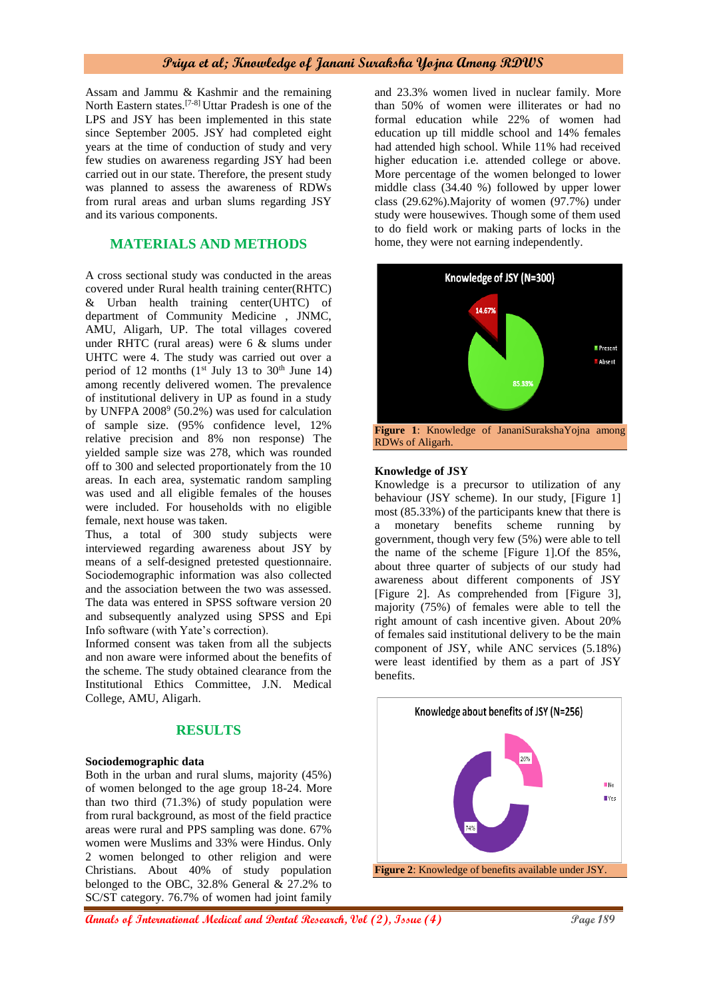Assam and Jammu & Kashmir and the remaining North Eastern states.[7-8] Uttar Pradesh is one of the LPS and JSY has been implemented in this state since September 2005. JSY had completed eight years at the time of conduction of study and very few studies on awareness regarding JSY had been carried out in our state. Therefore, the present study was planned to assess the awareness of RDWs from rural areas and urban slums regarding JSY and its various components.

# **MATERIALS AND METHODS**

A cross sectional study was conducted in the areas covered under Rural health training center(RHTC) & Urban health training center(UHTC) of department of Community Medicine , JNMC, AMU, Aligarh, UP. The total villages covered under RHTC (rural areas) were 6 & slums under UHTC were 4. The study was carried out over a period of 12 months  $(1^{st}$  July 13 to 30<sup>th</sup> June 14) among recently delivered women. The prevalence of institutional delivery in UP as found in a study by UNFPA 2008<sup>9</sup> (50.2%) was used for calculation of sample size. (95% confidence level, 12% relative precision and 8% non response) The yielded sample size was 278, which was rounded off to 300 and selected proportionately from the 10 areas. In each area, systematic random sampling was used and all eligible females of the houses were included. For households with no eligible female, next house was taken.

Thus, a total of 300 study subjects were interviewed regarding awareness about JSY by means of a self-designed pretested questionnaire. Sociodemographic information was also collected and the association between the two was assessed. The data was entered in SPSS software version 20 and subsequently analyzed using SPSS and Epi Info software (with Yate's correction).

Informed consent was taken from all the subjects and non aware were informed about the benefits of the scheme. The study obtained clearance from the Institutional Ethics Committee, J.N. Medical College, AMU, Aligarh.

## **RESULTS**

#### **Sociodemographic data**

Both in the urban and rural slums, majority (45%) of women belonged to the age group 18-24. More than two third (71.3%) of study population were from rural background, as most of the field practice areas were rural and PPS sampling was done. 67% women were Muslims and 33% were Hindus. Only 2 women belonged to other religion and were Christians. About 40% of study population belonged to the OBC, 32.8% General & 27.2% to SC/ST category. 76.7% of women had joint family

and 23.3% women lived in nuclear family. More than 50% of women were illiterates or had no formal education while 22% of women had education up till middle school and 14% females had attended high school. While 11% had received higher education i.e. attended college or above. More percentage of the women belonged to lower middle class (34.40 %) followed by upper lower class (29.62%).Majority of women (97.7%) under study were housewives. Though some of them used to do field work or making parts of locks in the home, they were not earning independently.



#### **Knowledge of JSY**

Knowledge is a precursor to utilization of any behaviour (JSY scheme). In our study, [Figure 1] most (85.33%) of the participants knew that there is a monetary benefits scheme running by government, though very few (5%) were able to tell the name of the scheme [Figure 1].Of the 85%, about three quarter of subjects of our study had awareness about different components of JSY [Figure 2]. As comprehended from [Figure 3], majority (75%) of females were able to tell the right amount of cash incentive given. About 20% of females said institutional delivery to be the main component of JSY, while ANC services (5.18%) were least identified by them as a part of JSY benefits.

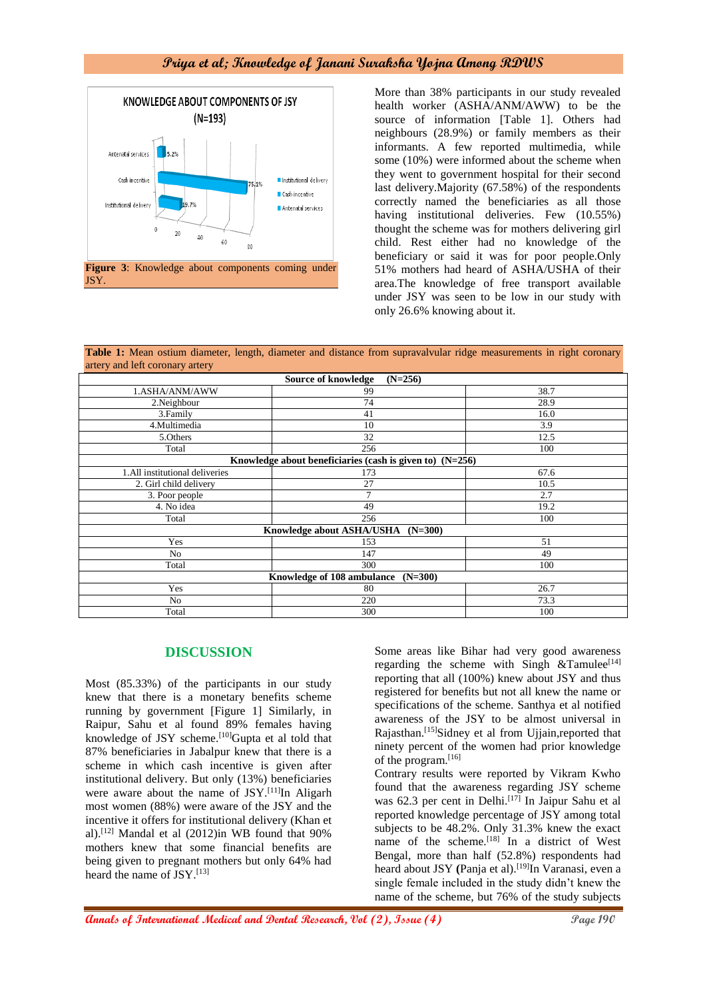

More than 38% participants in our study revealed health worker (ASHA/ANM/AWW) to be the source of information [Table 1]. Others had neighbours (28.9%) or family members as their informants. A few reported multimedia, while some (10%) were informed about the scheme when they went to government hospital for their second last delivery.Majority (67.58%) of the respondents correctly named the beneficiaries as all those having institutional deliveries. Few (10.55%) thought the scheme was for mothers delivering girl child. Rest either had no knowledge of the beneficiary or said it was for poor people.Only 51% mothers had heard of ASHA/USHA of their area.The knowledge of free transport available under JSY was seen to be low in our study with only 26.6% knowing about it.

**Table 1:** Mean ostium diameter, length, diameter and distance from supravalvular ridge measurements in right coronary artery and left coronary artery

| Source of knowledge<br>$(N=256)$                           |     |      |
|------------------------------------------------------------|-----|------|
| 1.ASHA/ANM/AWW                                             | 99  | 38.7 |
| 2. Neighbour                                               | 74  | 28.9 |
| 3. Family                                                  | 41  | 16.0 |
| 4.Multimedia                                               | 10  | 3.9  |
| 5.Others                                                   | 32  | 12.5 |
| Total                                                      | 256 | 100  |
| Knowledge about beneficiaries (cash is given to) $(N=256)$ |     |      |
| 1.All institutional deliveries                             | 173 | 67.6 |
| 2. Girl child delivery                                     | 27  | 10.5 |
| 3. Poor people                                             | 7   | 2.7  |
| 4. No idea                                                 | 49  | 19.2 |
| Total                                                      | 256 | 100  |
| Knowledge about ASHA/USHA<br>$(N=300)$                     |     |      |
| Yes                                                        | 153 | 51   |
| No                                                         | 147 | 49   |
| Total                                                      | 300 | 100  |
| Knowledge of 108 ambulance (N=300)                         |     |      |
| Yes                                                        | 80  | 26.7 |
| N <sub>o</sub>                                             | 220 | 73.3 |
| Total                                                      | 300 | 100  |

#### **DISCUSSION**

Most (85.33%) of the participants in our study knew that there is a monetary benefits scheme running by government [Figure 1] Similarly, in Raipur, Sahu et al found 89% females having knowledge of JSY scheme.<sup>[10]</sup>Gupta et al told that 87% beneficiaries in Jabalpur knew that there is a scheme in which cash incentive is given after institutional delivery. But only (13%) beneficiaries were aware about the name of JSY.<sup>[11]</sup>In Aligarh most women (88%) were aware of the JSY and the incentive it offers for institutional delivery (Khan et al).[12] Mandal et al (2012)in WB found that 90% mothers knew that some financial benefits are being given to pregnant mothers but only 64% had heard the name of JSY.[13]

Some areas like Bihar had very good awareness regarding the scheme with Singh  $&$ Tamulee<sup>[14]</sup> reporting that all (100%) knew about JSY and thus registered for benefits but not all knew the name or specifications of the scheme. Santhya et al notified awareness of the JSY to be almost universal in Rajasthan.[15]Sidney et al from Ujjain,reported that ninety percent of the women had prior knowledge of the program.<sup>[16]</sup>

Contrary results were reported by Vikram Kwho found that the awareness regarding JSY scheme was 62.3 per cent in Delhi.<sup>[17]</sup> In Jaipur Sahu et al reported knowledge percentage of JSY among total subjects to be 48.2%. Only 31.3% knew the exact name of the scheme. $^{[18]}$  In a district of West Bengal, more than half (52.8%) respondents had heard about JSY (Panja et al).<sup>[19]</sup>In Varanasi, even a single female included in the study didn't knew the name of the scheme, but 76% of the study subjects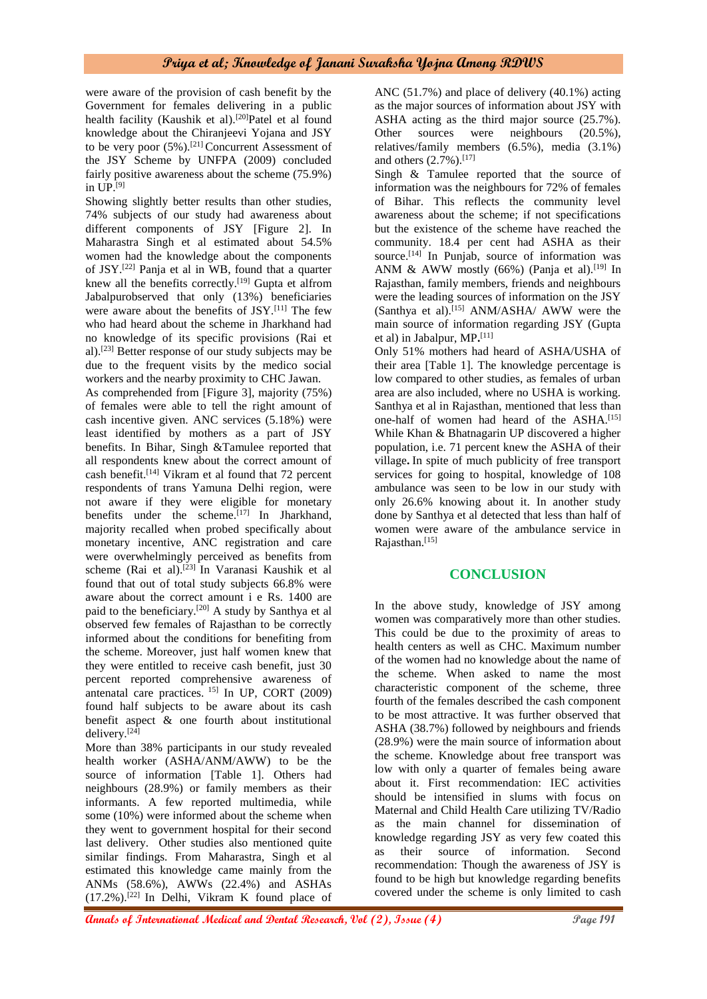were aware of the provision of cash benefit by the Government for females delivering in a public health facility (Kaushik et al).<sup>[20]</sup>Patel et al found knowledge about the Chiranjeevi Yojana and JSY to be very poor  $(5\%)$ .<sup>[21]</sup> Concurrent Assessment of the JSY Scheme by UNFPA (2009) concluded fairly positive awareness about the scheme (75.9%) in UP.[9]

Showing slightly better results than other studies, 74% subjects of our study had awareness about different components of JSY [Figure 2]. In Maharastra Singh et al estimated about 54.5% women had the knowledge about the components of JSY.[22] Panja et al in WB, found that a quarter knew all the benefits correctly.<sup>[19]</sup> Gupta et alfrom Jabalpurobserved that only (13%) beneficiaries were aware about the benefits of JSY.<sup>[11]</sup> The few who had heard about the scheme in Jharkhand had no knowledge of its specific provisions (Rai et al). [23] Better response of our study subjects may be due to the frequent visits by the medico social workers and the nearby proximity to CHC Jawan.

As comprehended from [Figure 3], majority (75%) of females were able to tell the right amount of cash incentive given. ANC services (5.18%) were least identified by mothers as a part of JSY benefits. In Bihar, Singh &Tamulee reported that all respondents knew about the correct amount of cash benefit.[14] Vikram et al found that 72 percent respondents of trans Yamuna Delhi region, were not aware if they were eligible for monetary benefits under the scheme.<sup>[17]</sup> In Jharkhand, majority recalled when probed specifically about monetary incentive, ANC registration and care were overwhelmingly perceived as benefits from scheme (Rai et al).[23] In Varanasi Kaushik et al found that out of total study subjects 66.8% were aware about the correct amount i e Rs. 1400 are paid to the beneficiary.[20] A study by Santhya et al observed few females of Rajasthan to be correctly informed about the conditions for benefiting from the scheme. Moreover, just half women knew that they were entitled to receive cash benefit, just 30 percent reported comprehensive awareness of antenatal care practices. 15] In UP, CORT (2009) found half subjects to be aware about its cash benefit aspect & one fourth about institutional delivery.[24]

More than 38% participants in our study revealed health worker (ASHA/ANM/AWW) to be the source of information [Table 1]. Others had neighbours (28.9%) or family members as their informants. A few reported multimedia, while some (10%) were informed about the scheme when they went to government hospital for their second last delivery. Other studies also mentioned quite similar findings. From Maharastra, Singh et al estimated this knowledge came mainly from the ANMs (58.6%), AWWs (22.4%) and ASHAs  $(17.2\%)$ .<sup>[22]</sup> In Delhi, Vikram K found place of

ANC (51.7%) and place of delivery (40.1%) acting as the major sources of information about JSY with ASHA acting as the third major source (25.7%). Other sources were neighbours (20.5%), relatives/family members (6.5%), media (3.1%) and others  $(2.7\%)$ .<sup>[17]</sup>

Singh & Tamulee reported that the source of information was the neighbours for 72% of females of Bihar. This reflects the community level awareness about the scheme; if not specifications but the existence of the scheme have reached the community. 18.4 per cent had ASHA as their source.<sup>[14]</sup> In Punjab, source of information was ANM & AWW mostly (66%) (Panja et al).<sup>[19]</sup> In Rajasthan, family members, friends and neighbours were the leading sources of information on the JSY (Santhya et al).[15] ANM/ASHA/ AWW were the main source of information regarding JSY (Gupta et al) in Jabalpur, MP**.** [11]

Only 51% mothers had heard of ASHA/USHA of their area [Table 1]. The knowledge percentage is low compared to other studies, as females of urban area are also included, where no USHA is working. Santhya et al in Rajasthan, mentioned that less than one-half of women had heard of the ASHA.<sup>[15]</sup> While Khan & Bhatnagarin UP discovered a higher population, i.e. 71 percent knew the ASHA of their village**.** In spite of much publicity of free transport services for going to hospital, knowledge of 108 ambulance was seen to be low in our study with only 26.6% knowing about it. In another study done by Santhya et al detected that less than half of women were aware of the ambulance service in Rajasthan.[15]

## **CONCLUSION**

In the above study, knowledge of JSY among women was comparatively more than other studies. This could be due to the proximity of areas to health centers as well as CHC. Maximum number of the women had no knowledge about the name of the scheme. When asked to name the most characteristic component of the scheme, three fourth of the females described the cash component to be most attractive. It was further observed that ASHA (38.7%) followed by neighbours and friends (28.9%) were the main source of information about the scheme. Knowledge about free transport was low with only a quarter of females being aware about it. First recommendation: IEC activities should be intensified in slums with focus on Maternal and Child Health Care utilizing TV/Radio as the main channel for dissemination of knowledge regarding JSY as very few coated this as their source of information. Second recommendation: Though the awareness of JSY is found to be high but knowledge regarding benefits covered under the scheme is only limited to cash